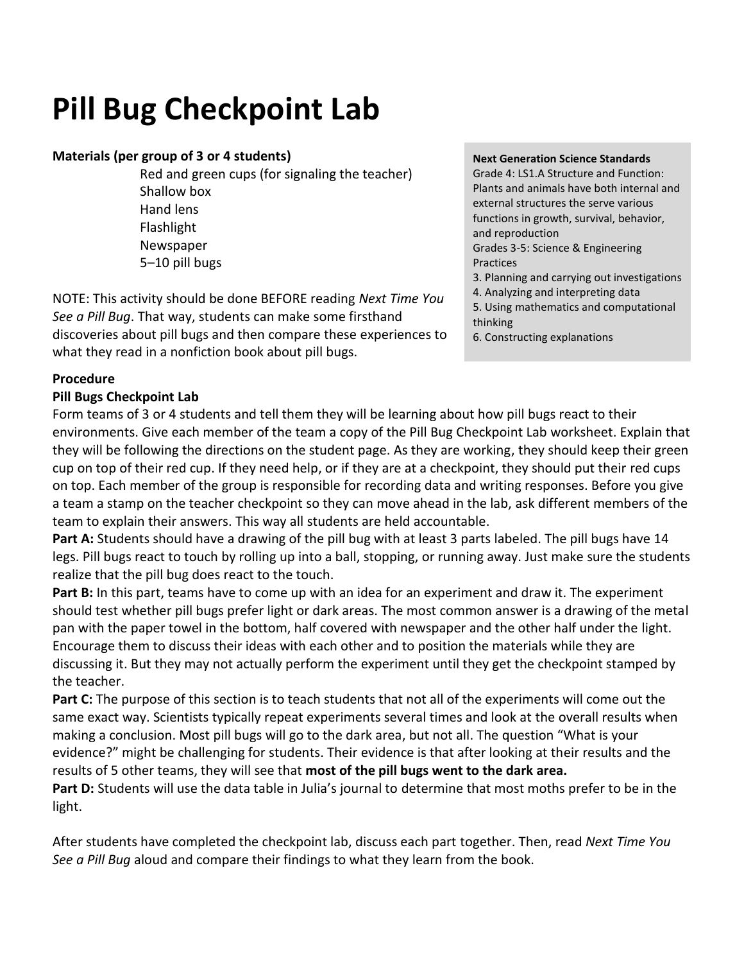## **Pill Bug Checkpoint Lab**

#### **Materials (per group of 3 or 4 students)**

Red and green cups (for signaling the teacher) Shallow box Hand lens Flashlight Newspaper 5–10 pill bugs

NOTE: This activity should be done BEFORE reading *Next Time You See a Pill Bug*. That way, students can make some firsthand discoveries about pill bugs and then compare these experiences to what they read in a nonfiction book about pill bugs.

#### **Next Generation Science Standards**

Grade 4: LS1.A Structure and Function: Plants and animals have both internal and external structures the serve various functions in growth, survival, behavior, and reproduction Grades 3-5: Science & Engineering Practices 3. Planning and carrying out investigations 4. Analyzing and interpreting data 5. Using mathematics and computational thinking 6. Constructing explanations

#### **Procedure**

#### **Pill Bugs Checkpoint Lab**

Form teams of 3 or 4 students and tell them they will be learning about how pill bugs react to their environments. Give each member of the team a copy of the Pill Bug Checkpoint Lab worksheet. Explain that they will be following the directions on the student page. As they are working, they should keep their green cup on top of their red cup. If they need help, or if they are at a checkpoint, they should put their red cups on top. Each member of the group is responsible for recording data and writing responses. Before you give a team a stamp on the teacher checkpoint so they can move ahead in the lab, ask different members of the team to explain their answers. This way all students are held accountable.

**Part A:** Students should have a drawing of the pill bug with at least 3 parts labeled. The pill bugs have 14 legs. Pill bugs react to touch by rolling up into a ball, stopping, or running away. Just make sure the students realize that the pill bug does react to the touch.

**Part B:** In this part, teams have to come up with an idea for an experiment and draw it. The experiment should test whether pill bugs prefer light or dark areas. The most common answer is a drawing of the metal pan with the paper towel in the bottom, half covered with newspaper and the other half under the light. Encourage them to discuss their ideas with each other and to position the materials while they are discussing it. But they may not actually perform the experiment until they get the checkpoint stamped by the teacher.

**Part C:** The purpose of this section is to teach students that not all of the experiments will come out the same exact way. Scientists typically repeat experiments several times and look at the overall results when making a conclusion. Most pill bugs will go to the dark area, but not all. The question "What is your evidence?" might be challenging for students. Their evidence is that after looking at their results and the results of 5 other teams, they will see that **most of the pill bugs went to the dark area.** 

Part D: Students will use the data table in Julia's journal to determine that most moths prefer to be in the light.

After students have completed the checkpoint lab, discuss each part together. Then, read *Next Time You See a Pill Bug* aloud and compare their findings to what they learn from the book.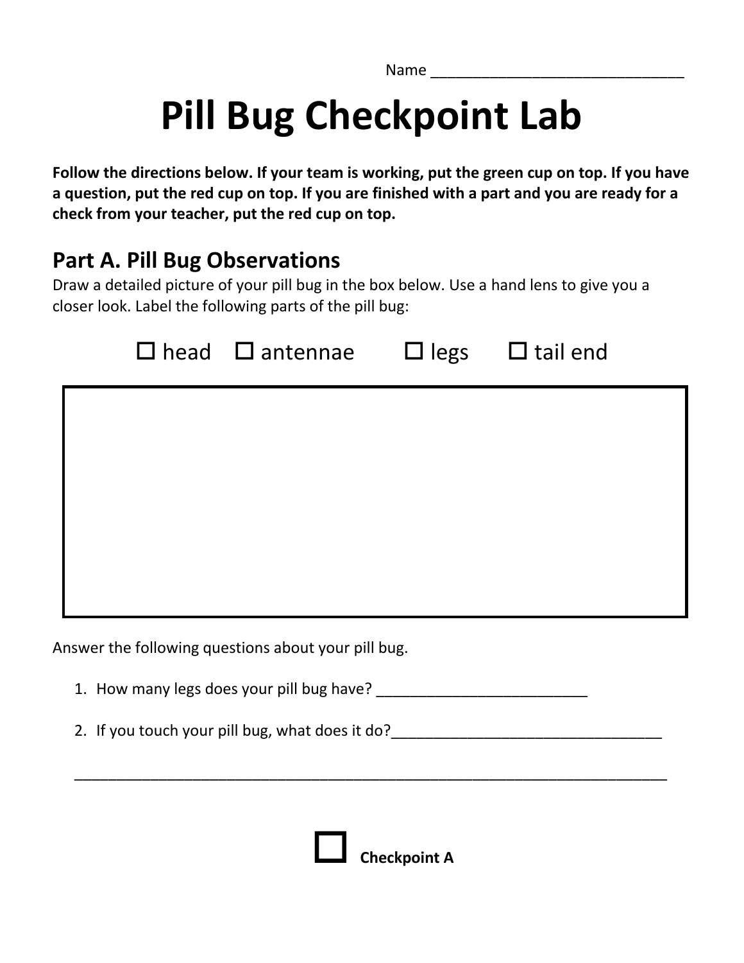Name \_\_\_\_\_\_\_\_\_\_\_\_\_\_\_\_\_\_\_\_\_\_\_\_\_\_\_\_\_\_

# **Pill Bug Checkpoint Lab**

**Follow the directions below. If your team is working, put the green cup on top. If you have a question, put the red cup on top. If you are finished with a part and you are ready for a check from your teacher, put the red cup on top.** 

### **Part A. Pill Bug Observations**

Draw a detailed picture of your pill bug in the box below. Use a hand lens to give you a closer look. Label the following parts of the pill bug:

|  | $\Box$ head $\Box$ antennae $\Box$ legs $\Box$ tail end |  |
|--|---------------------------------------------------------|--|
|  |                                                         |  |
|  |                                                         |  |
|  |                                                         |  |
|  |                                                         |  |
|  |                                                         |  |

Answer the following questions about your pill bug.

1. How many legs does your pill bug have?

2. If you touch your pill bug, what does it do?

\_\_\_\_\_\_\_\_\_\_\_\_\_\_\_\_\_\_\_\_\_\_\_\_\_\_\_\_\_\_\_\_\_\_\_\_\_\_\_\_\_\_\_\_\_\_\_\_\_\_\_\_\_\_\_\_\_\_\_\_\_\_\_\_\_\_\_\_\_\_

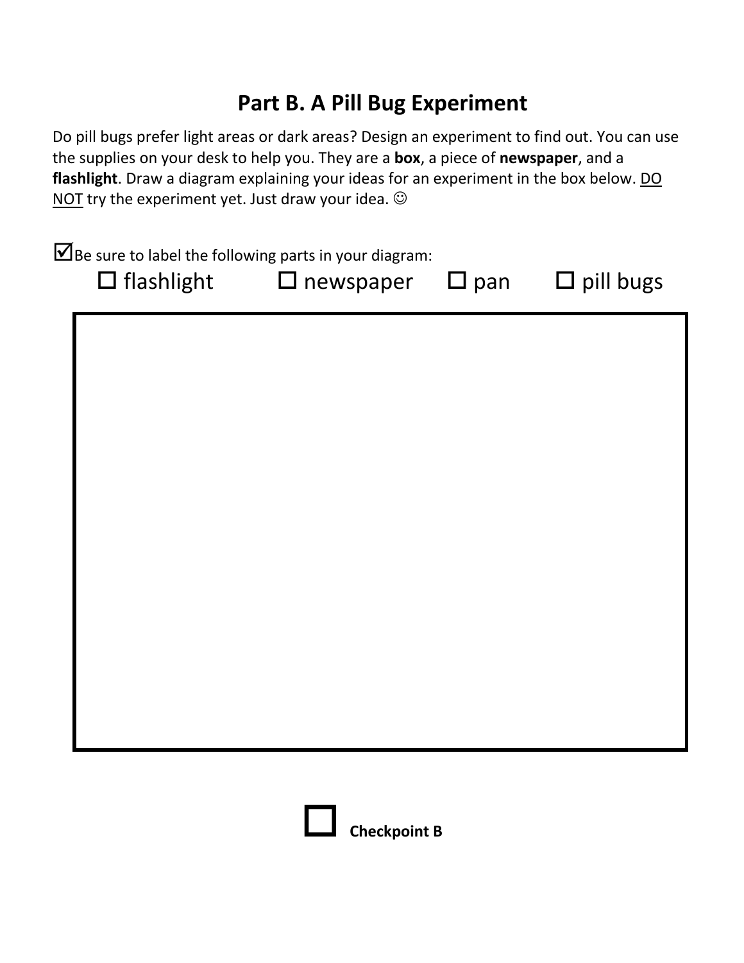## **Part B. A Pill Bug Experiment**

Do pill bugs prefer light areas or dark areas? Design an experiment to find out. You can use the supplies on your desk to help you. They are a **box**, a piece of **newspaper**, and a flashlight. Draw a diagram explaining your ideas for an experiment in the box below. DO NOT try the experiment yet. Just draw your idea.  $\odot$ 

| $\blacksquare$ Be sure to label the following parts in your diagram:<br>$\Box$ flashlight $\Box$ newspaper |  | $\square$ pan $\square$ pill bugs |
|------------------------------------------------------------------------------------------------------------|--|-----------------------------------|
|                                                                                                            |  |                                   |
|                                                                                                            |  |                                   |
|                                                                                                            |  |                                   |
|                                                                                                            |  |                                   |
|                                                                                                            |  |                                   |
|                                                                                                            |  |                                   |
|                                                                                                            |  |                                   |

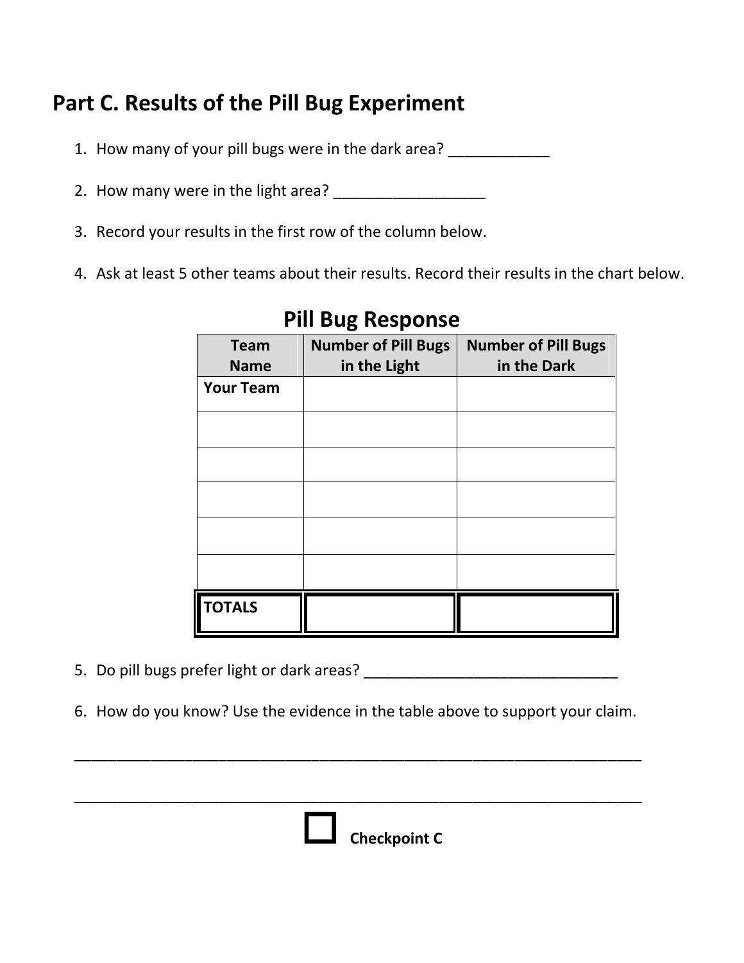## **Part C. Results of the Pill Bug Experiment**

- 1. How many of your pill bugs were in the dark area? \_\_\_\_\_\_\_\_\_\_\_\_\_\_\_\_\_\_\_\_\_\_\_\_\_\_\_
- 2. How many were in the light area? \_\_\_\_\_\_\_\_\_\_\_\_\_\_\_\_\_\_
- 3. Record your results in the first row of the column below.
- 4. Ask at least 5 other teams about their results. Record their results in the chart below.

| <b>Team</b><br><b>Name</b> | <b>Number of Pill Bugs</b><br>in the Light | <b>Number of Pill Bugs</b><br>in the Dark |
|----------------------------|--------------------------------------------|-------------------------------------------|
| <b>Your Team</b>           |                                            |                                           |
|                            |                                            |                                           |
|                            |                                            |                                           |
|                            |                                            |                                           |
|                            |                                            |                                           |
|                            |                                            |                                           |
| <b>TOTALS</b>              |                                            |                                           |

#### **Pill Bug Response**

- 5. Do pill bugs prefer light or dark areas? \_\_\_\_\_\_\_\_\_\_\_\_\_\_\_\_\_\_\_\_\_\_\_\_\_\_\_\_\_\_
- 6. How do you know? Use the evidence in the table above to support your claim.

\_\_\_\_\_\_\_\_\_\_\_\_\_\_\_\_\_\_\_\_\_\_\_\_\_\_\_\_\_\_\_\_\_\_\_\_\_\_\_\_\_\_\_\_\_\_\_\_\_\_\_\_\_\_\_\_\_\_\_\_\_\_\_\_\_\_\_

\_\_\_\_\_\_\_\_\_\_\_\_\_\_\_\_\_\_\_\_\_\_\_\_\_\_\_\_\_\_\_\_\_\_\_\_\_\_\_\_\_\_\_\_\_\_\_\_\_\_\_\_\_\_\_\_\_\_\_\_\_\_\_\_\_\_\_